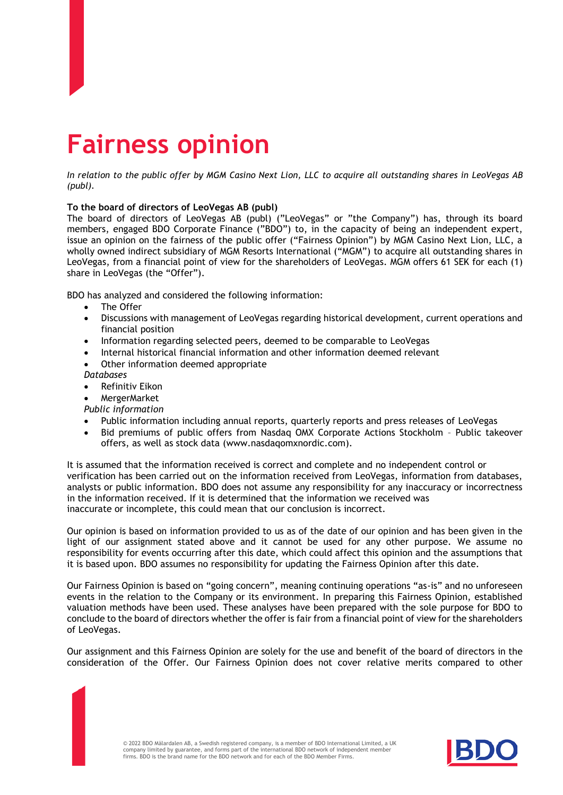## **Fairness opinion**

*In relation to the public offer by MGM Casino Next Lion, LLC to acquire all outstanding shares in LeoVegas AB (publ).*

## **To the board of directors of LeoVegas AB (publ)**

The board of directors of LeoVegas AB (publ) ("LeoVegas" or "the Company") has, through its board members, engaged BDO Corporate Finance ("BDO") to, in the capacity of being an independent expert, issue an opinion on the fairness of the public offer ("Fairness Opinion") by MGM Casino Next Lion, LLC, a wholly owned indirect subsidiary of MGM Resorts International ("MGM") to acquire all outstanding shares in LeoVegas, from a financial point of view for the shareholders of LeoVegas. MGM offers 61 SEK for each (1) share in LeoVegas (the "Offer").

BDO has analyzed and considered the following information:

- The Offer
- Discussions with management of LeoVegas regarding historical development, current operations and financial position
- Information regarding selected peers, deemed to be comparable to LeoVegas
- Internal historical financial information and other information deemed relevant
- Other information deemed appropriate
- *Databases*
- Refinitiv Eikon
- MergerMarket
- *Public information*
- Public information including annual reports, quarterly reports and press releases of LeoVegas
- Bid premiums of public offers from Nasdaq OMX Corporate Actions Stockholm Public takeover offers, as well as stock data (www.nasdaqomxnordic.com).

It is assumed that the information received is correct and complete and no independent control or verification has been carried out on the information received from LeoVegas, information from databases, analysts or public information. BDO does not assume any responsibility for any inaccuracy or incorrectness in the information received. If it is determined that the information we received was inaccurate or incomplete, this could mean that our conclusion is incorrect.

Our opinion is based on information provided to us as of the date of our opinion and has been given in the light of our assignment stated above and it cannot be used for any other purpose. We assume no responsibility for events occurring after this date, which could affect this opinion and the assumptions that it is based upon. BDO assumes no responsibility for updating the Fairness Opinion after this date.

Our Fairness Opinion is based on "going concern", meaning continuing operations "as-is" and no unforeseen events in the relation to the Company or its environment. In preparing this Fairness Opinion, established valuation methods have been used. These analyses have been prepared with the sole purpose for BDO to conclude to the board of directors whether the offer is fair from a financial point of view for the shareholders of LeoVegas.

Our assignment and this Fairness Opinion are solely for the use and benefit of the board of directors in the consideration of the Offer. Our Fairness Opinion does not cover relative merits compared to other